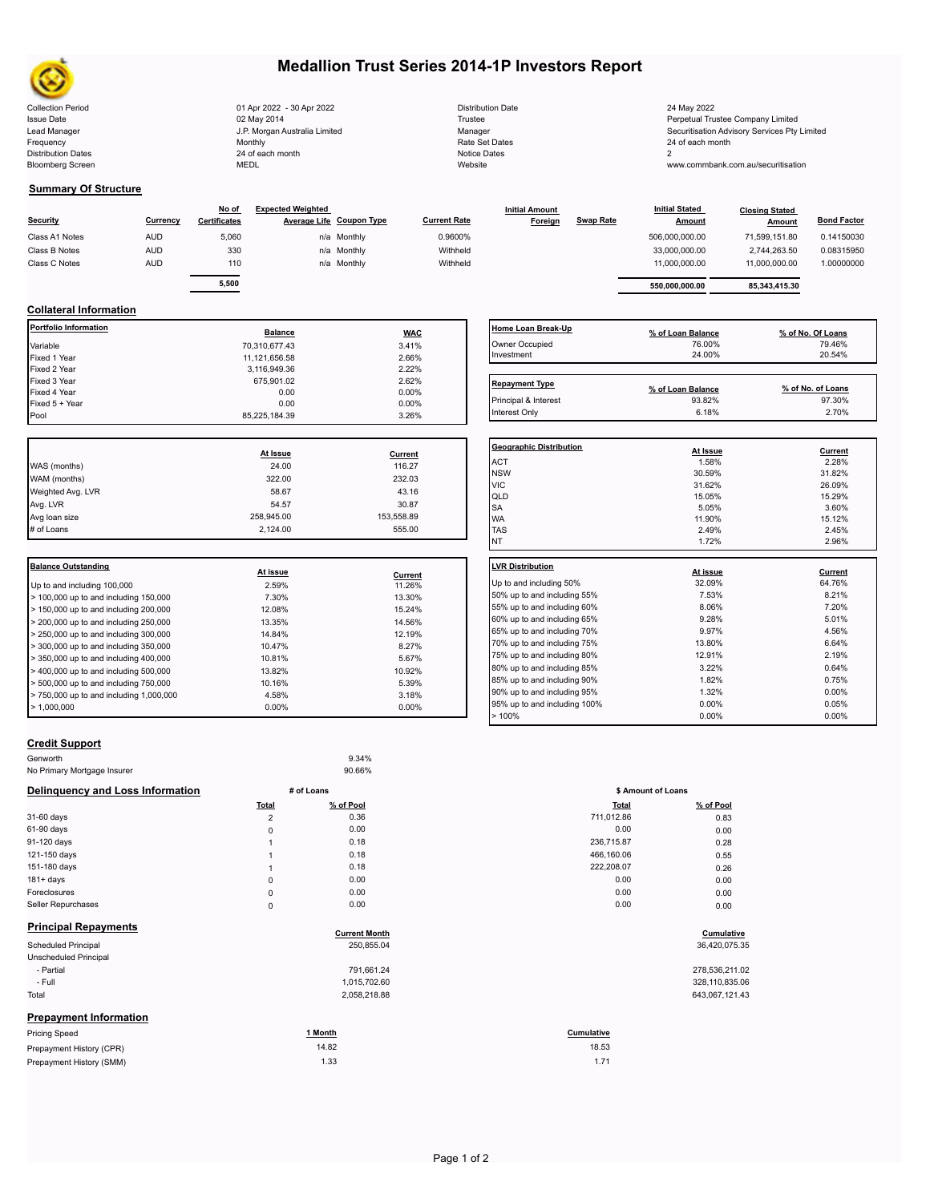

# **Medallion Trust Series 2014-1P Investors Report**

| 01 Apr 2022 - 30 Apr 2022     | <b>Distribution Date</b> | 24 May 2022                              |
|-------------------------------|--------------------------|------------------------------------------|
| 02 May 2014                   | Trustee                  | Perpetual Trustee Company Limited        |
| J.P. Morgan Australia Limited | Manager                  | Securitisation Advisory Services Pty Lir |
| Monthly                       | Rate Set Dates           | 24 of each month                         |
| 24 of each month              | Notice Dates             |                                          |
| MEDL                          | Website                  | www.commbank.com.au/securitisation       |
|                               |                          |                                          |

| <b>Distribution Date</b> |
|--------------------------|
| Trustee                  |
| Manager                  |
| Rate Set Dates           |
| Notice Dates             |
| Website                  |

#### **Summary Of Structure**

| Security       | Currency   | No of<br><b>Certificates</b> | <b>Expected Weighted</b><br>Average Life Coupon Type |             | <b>Current Rate</b> | <b>Initial Amount</b><br>Foreign | <b>Swap Rate</b> | <b>Initial Stated</b><br><b>Amount</b> | <b>Closing Stated</b><br>Amount | <b>Bond Factor</b> |
|----------------|------------|------------------------------|------------------------------------------------------|-------------|---------------------|----------------------------------|------------------|----------------------------------------|---------------------------------|--------------------|
| Class A1 Notes | <b>AUD</b> | 5,060                        |                                                      | n/a Monthly | 0.9600%             |                                  |                  | 506,000,000.00                         | 71.599.151.80                   | 0.14150030         |
| Class B Notes  | <b>AUD</b> | 330                          |                                                      | n/a Monthly | Withheld            |                                  |                  | 33,000,000.00                          | 2.744.263.50                    | 0.08315950         |
| Class C Notes  | <b>AUD</b> | 110                          |                                                      | n/a Monthly | Withheld            |                                  |                  | 11.000.000.00                          | 11.000.000.00                   | 1.00000000         |
|                |            | 5,500                        |                                                      |             |                     |                                  |                  | 550.000.000.00                         | 85.343.415.30                   |                    |

### **Collateral Information**

| <b>Portfolio Information</b> | <b>Balance</b>    | <b>WAC</b>        | Home Loan Break           |
|------------------------------|-------------------|-------------------|---------------------------|
| Variable                     | 70,310,677.43     | 3.41%             | Owner Occupied            |
| Fixed 1 Year                 | 11,121,656.58     | 2.66%             | Investment                |
| Fixed 2 Year                 | 3,116,949.36      | 2.22%             |                           |
| Fixed 3 Year                 | 675,901.02        | 2.62%             | <b>Repayment Type</b>     |
| Fixed 4 Year                 | 0.00              | 0.00%             |                           |
| Fixed 5 + Year               | 0.00              | $0.00\%$          | Principal & Interest      |
| Pool                         | 85,225,184.39     | 3.26%             | Interest Only             |
|                              |                   |                   | <b>Geographic Distril</b> |
|                              |                   |                   |                           |
| WAS (months)                 | At Issue<br>24.00 | Current<br>116.27 | <b>ACT</b>                |
| WAM (months)                 | 322.00            | 232.03            | <b>NSW</b>                |
| Weighted Avg. LVR            | 58.67             | 43.16             | <b>VIC</b>                |
| Avg. LVR                     | 54.57             | 30.87             | QLD                       |
| Avg loan size                | 258,945.00        | 153,558.89        | <b>SA</b><br><b>WA</b>    |
| # of Loans                   | 2,124.00          | 555.00            | <b>TAS</b>                |

| <b>I</b> Balance Outstanding               |          |          | <b>ILVR Distribution</b> |
|--------------------------------------------|----------|----------|--------------------------|
|                                            | At issue | Current  |                          |
| Up to and including 100,000                | 2.59%    | 11.26%   | Up to and including      |
| $>$ 100,000 up to and including 150,000    | 7.30%    | 13.30%   | 50% up to and incl       |
| $>$ 150,000 up to and including 200,000    | 12.08%   | 15.24%   | 55% up to and incl       |
| $>$ 200,000 up to and including 250,000    | 13.35%   | 14.56%   | 60% up to and incl       |
| $> 250,000$ up to and including 300,000    | 14.84%   | 12.19%   | 65% up to and incl       |
| $\geq$ 300,000 up to and including 350,000 | 10.47%   | 8.27%    | 70% up to and incl       |
| $>$ 350,000 up to and including 400,000    | 10.81%   | 5.67%    | 75% up to and incl       |
| $>$ 400,000 up to and including 500,000    | 13.82%   | 10.92%   | 80% up to and incl       |
| $> 500,000$ up to and including $750,000$  | 10.16%   | 5.39%    | 85% up to and incl       |
| $> 750,000$ up to and including 1,000,000  | 4.58%    | 3.18%    | 90% up to and incl       |
| $\blacktriangleright$ 1.000.000            | $0.00\%$ | $0.00\%$ | 95% up to and incl       |
|                                            |          |          | 1001                     |

| Home Loan Break-Up             | % of Loan Balance | % of No. Of Loans |
|--------------------------------|-------------------|-------------------|
| Owner Occupied                 | 76.00%            | 79.46%            |
| Investment                     | 24.00%            | 20.54%            |
|                                |                   |                   |
| <b>Repayment Type</b>          | % of Loan Balance | % of No. of Loans |
| Principal & Interest           | 93.82%            | 97.30%            |
| Interest Only                  | 6.18%             | 2.70%             |
|                                |                   |                   |
| <b>Geographic Distribution</b> | At Issue          | <b>Current</b>    |
| <b>ACT</b>                     | 1.58%             | 2.28%             |
| <b>NSW</b>                     | 30.59%            | 31.82%            |
| <b>VIC</b>                     | 31.62%            | 26.09%            |
| QLD                            | 15.05%            | 15.29%            |
| <b>SA</b>                      | 5.05%             | 3.60%             |
| <b>WA</b>                      | 11.90%            | 15.12%            |
| <b>TAS</b>                     | 2.49%             | 2.45%             |
| <b>NT</b>                      | 1.72%             | 2.96%             |
| <b>LVR Distribution</b>        |                   |                   |
|                                | At issue          | Current           |
| Up to and including 50%        | 32.09%            | 64.76%            |
| 50% up to and including 55%    | 7.53%             | 8.21%             |
| 55% up to and including 60%    | 8.06%             | 7.20%             |
| 60% up to and including 65%    | 9.28%             | 5.01%             |
| 65% up to and including 70%    | 9.97%             | 4.56%             |
| 70% up to and including 75%    | 13.80%            | 6.64%             |
| 75% up to and including 80%    | 12.91%            | 2.19%             |
| 80% up to and including 85%    | 3.22%             | 0.64%             |
| 85% up to and including 90%    | 1.82%             | 0.75%             |
| 90% up to and including 95%    | 1.32%             | 0.00%             |
| 95% up to and including 100%   | 0.00%             | 0.05%             |
| >100%                          | 0.00%             | $0.00\%$          |

### **Credit Support**

| Genworth                         |                | 9.34%                |            |                    |
|----------------------------------|----------------|----------------------|------------|--------------------|
| No Primary Mortgage Insurer      |                | 90.66%               |            |                    |
| Delinquency and Loss Information |                | # of Loans           |            | \$ Amount of Loans |
|                                  | Total          | % of Pool            | Total      | % of Pool          |
| 31-60 days                       | $\overline{2}$ | 0.36                 | 711,012.86 | 0.83               |
| 61-90 days                       | 0              | 0.00                 | 0.00       | 0.00               |
| 91-120 days                      |                | 0.18                 | 236,715.87 | 0.28               |
| 121-150 days                     |                | 0.18                 | 466,160.06 | 0.55               |
| 151-180 days                     |                | 0.18                 | 222,208.07 | 0.26               |
| $181 + days$                     | 0              | 0.00                 | 0.00       | 0.00               |
| Foreclosures                     | 0              | 0.00                 | 0.00       | 0.00               |
| Seller Repurchases               | 0              | 0.00                 | 0.00       | 0.00               |
| <b>Principal Repayments</b>      |                |                      |            |                    |
|                                  |                | <b>Current Month</b> |            | Cumulative         |
| Scheduled Principal              |                | 250,855.04           |            | 36,420,075.35      |
| Unscheduled Principal            |                |                      |            |                    |
| - Partial                        |                | 791,661.24           |            | 278,536,211.02     |
| - Full                           |                | 1,015,702.60         |            | 328,110,835.06     |
| Total                            |                | 2,058,218.88         |            | 643,067,121.43     |
| <b>Prepayment Information</b>    |                |                      |            |                    |

| <b>Pricing Speed</b>     | <b>Month</b> | Cumulative |
|--------------------------|--------------|------------|
| Prepayment History (CPR) | 14.82        | 18.53      |
| Prepayment History (SMM) | 1.33         | 1.71       |